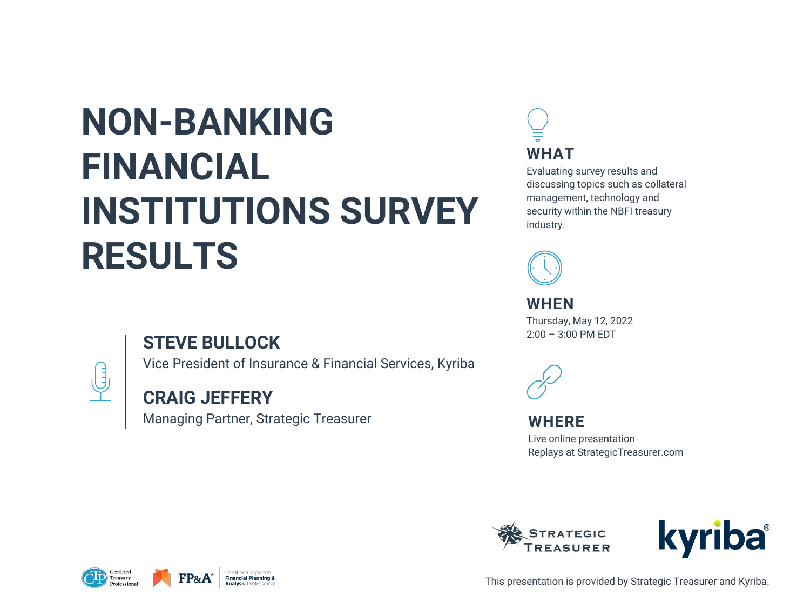# **NON-BANKING FINANCIAL INSTITUTIONS SURVEY RESULTS**

## **STEVE BULLOCK**



## Vice President of Insurance & Financial Services, Kyriba

## **CRAIG JEFFERY**

Managing Partner, Strategic Treasurer







This presentation is provided by Strategic Treasurer and Kyriba.

**WHERE** Live online presentation Replays at StrategicTreasurer.com





**WHEN**

Thursday, May 12, 2022 2:00 – 3:00 PM EDT





Evaluating survey results and discussing topics such as collateral management, technology and security within the NBFI treasury industry.

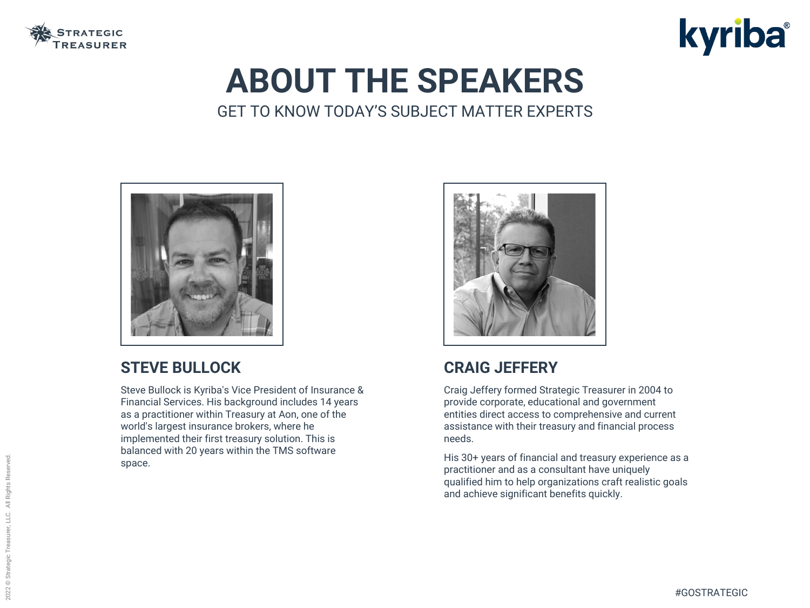### **STEVE BULLOCK**

Steve Bullock is Kyriba's Vice President of Insurance & Financial Services. His background includes 14 years as a practitioner within Treasury at Aon, one of the world's largest insurance brokers, where he implemented their first treasury solution. This is balanced with 20 years within the TMS software space.





## **CRAIG JEFFERY**

Craig Jeffery formed Strategic Treasurer in 2004 to provide corporate, educational and government entities direct access to comprehensive and current assistance with their treasury and financial process needs.

His 30+ years of financial and treasury experience as a practitioner and as a consultant have uniquely qualified him to help organizations craft realistic goals and achieve significant benefits quickly.





# **ABOUT THE SPEAKERS** GET TO KNOW TODAY'S SUBJECT MATTER EXPERTS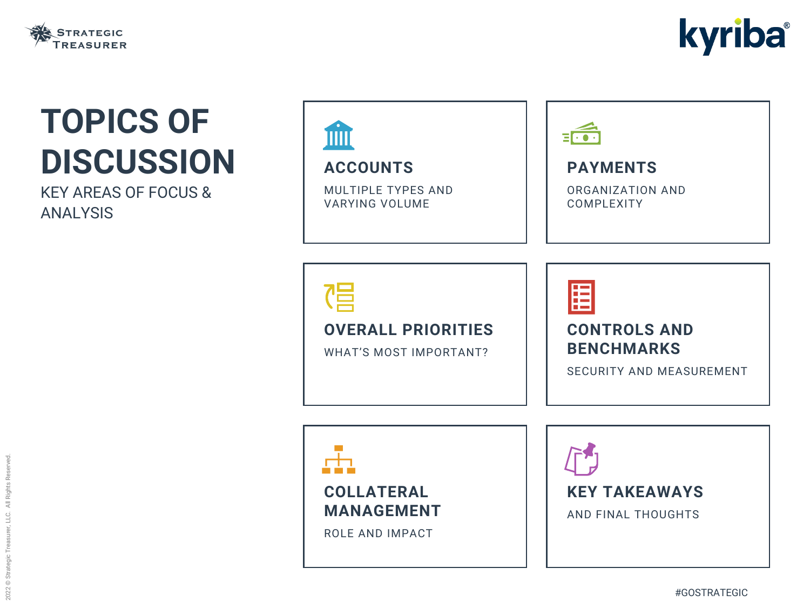





MULTIPLE TYPES AND VARYING VOLUME



### **OVERALL PRIORITIES**

WHAT'S MOST IMPORTANT?





# **TOPICS OF DISCUSSION**

KEY AREAS OF FOCUS & ANALYSIS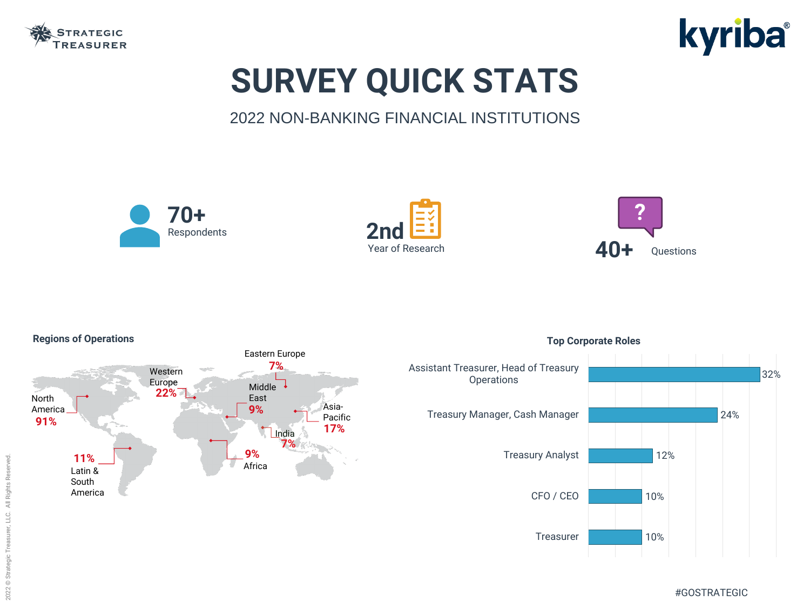

# **SURVEY QUICK STATS** 2022 NON-BANKING FINANCIAL INSTITUTIONS

### **Regions of Operations**









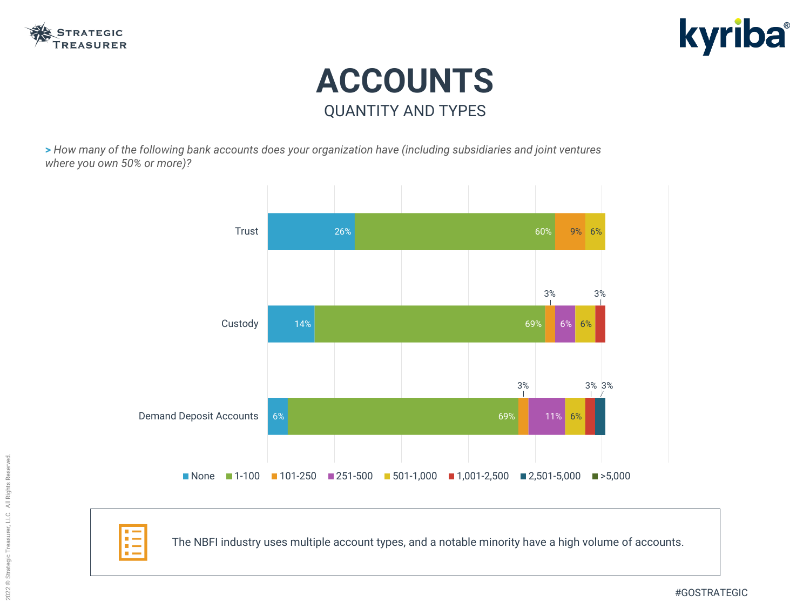



# **ACCOUNTS** QUANTITY AND TYPES

**>** *How many of the following bank accounts does your organization have (including subsidiaries and joint ventures where you own 50% or more)?*

The NBFI industry uses multiple account types, and a notable minority have a high volume of accounts.



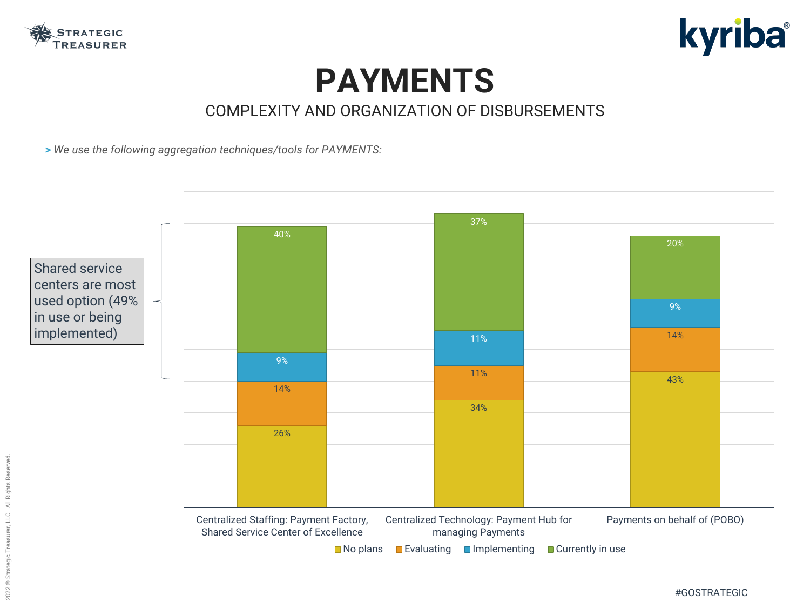



## **PAYMENTS** COMPLEXITY AND ORGANIZATION OF DISBURSEMENTS

**>** *We use the following aggregation techniques/tools for PAYMENTS:*

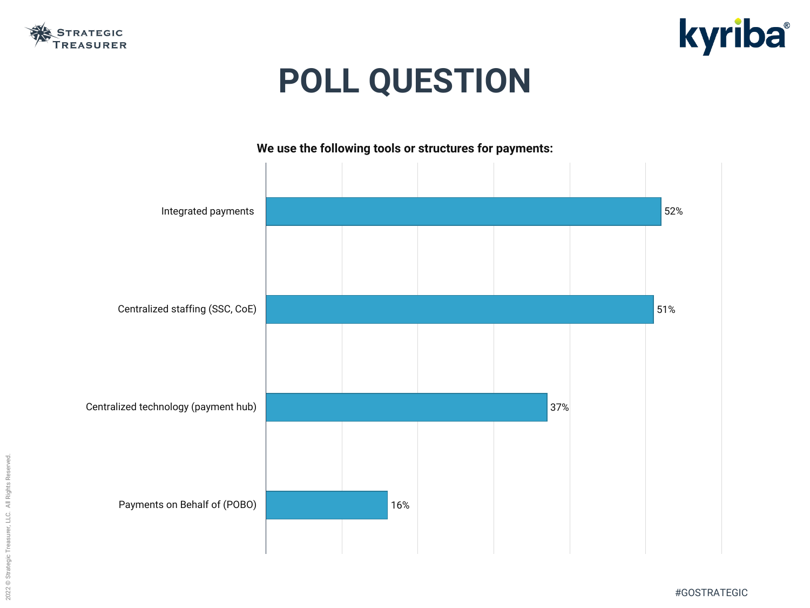2022 © Strategic Treasurer, LLC. All Rights Reserved. 2022 © Strategic Treasurer, LLC. All Rights Reserved.





#GOSTRATEGIC



# **POLL QUESTION**

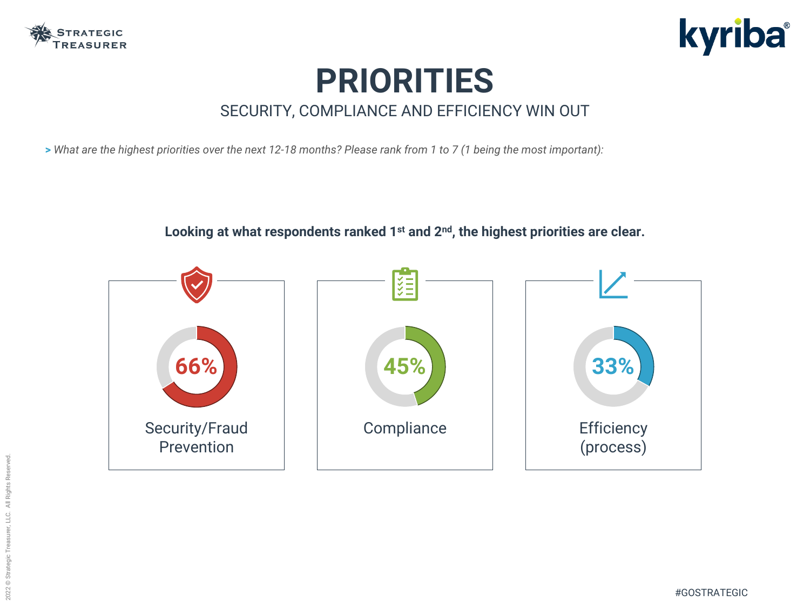

# **PRIORITIES** SECURITY, COMPLIANCE AND EFFICIENCY WIN OUT

**>** *What are the highest priorities over the next 12-18 months? Please rank from 1 to 7 (1 being the most important):*

**Looking at what respondents ranked 1st and 2nd, the highest priorities are clear.**





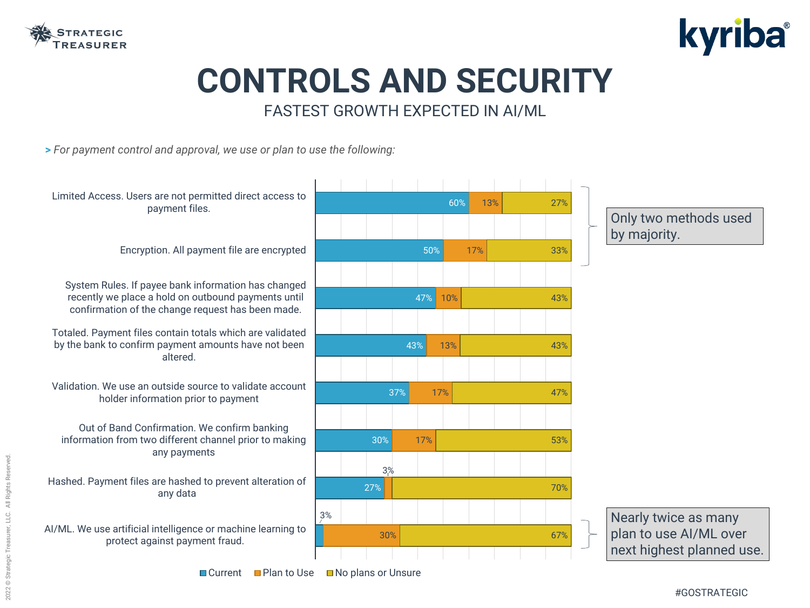

## **CONTROLS AND SECURITY** FASTEST GROWTH EXPECTED IN AI/ML

**>** *For payment control and approval, we use or plan to use the following:*





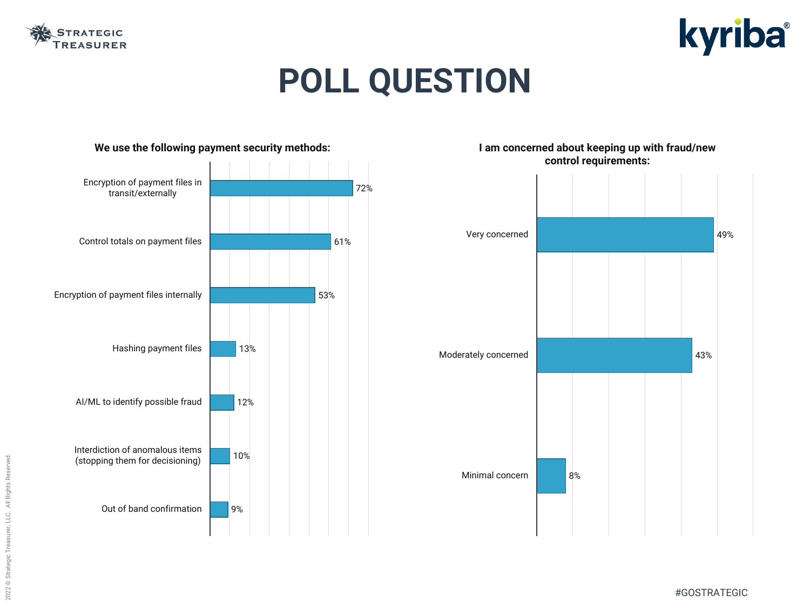





# **POLL QUESTION**

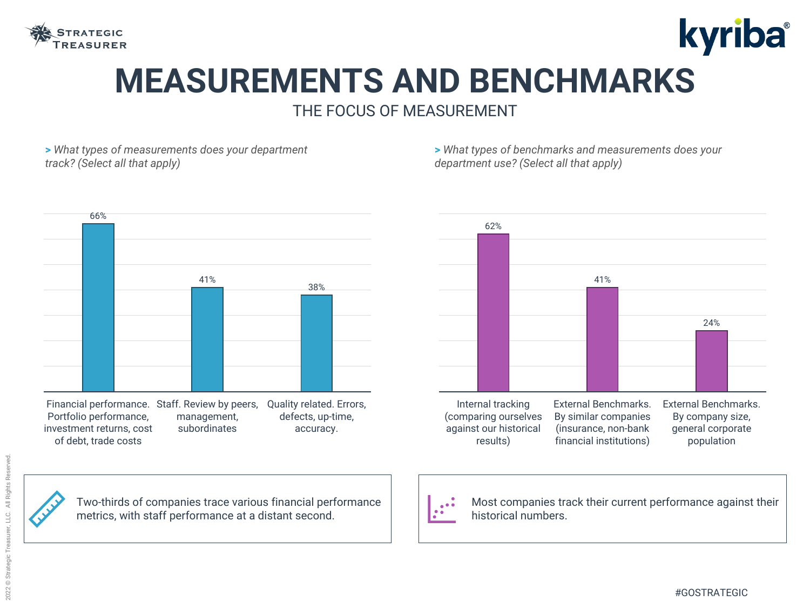

## **MEASUREMENTS AND BENCHMARKS** THE FOCUS OF MEASUREMENT





**>** *What types of measurements does your department track? (Select all that apply)*

**>** *What types of benchmarks and measurements does your department use? (Select all that apply)*

Two-thirds of companies trace various financial performance metrics, with staff performance at a distant second.

 $\bullet$ 



Most companies track their current performance against their historical numbers.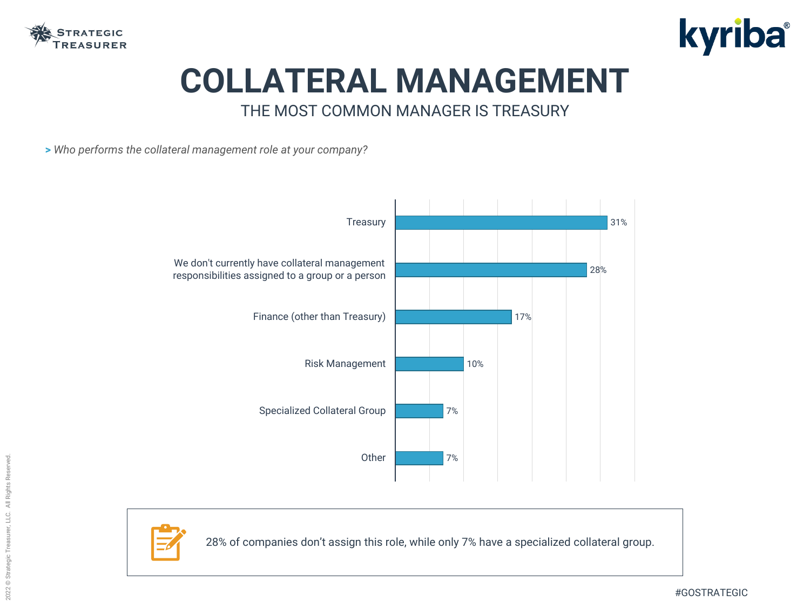

## **COLLATERAL MANAGEMENT** THE MOST COMMON MANAGER IS TREASURY

**>** *Who performs the collateral management role at your company?*





28% of companies don't assign this role, while only 7% have a specialized collateral group.



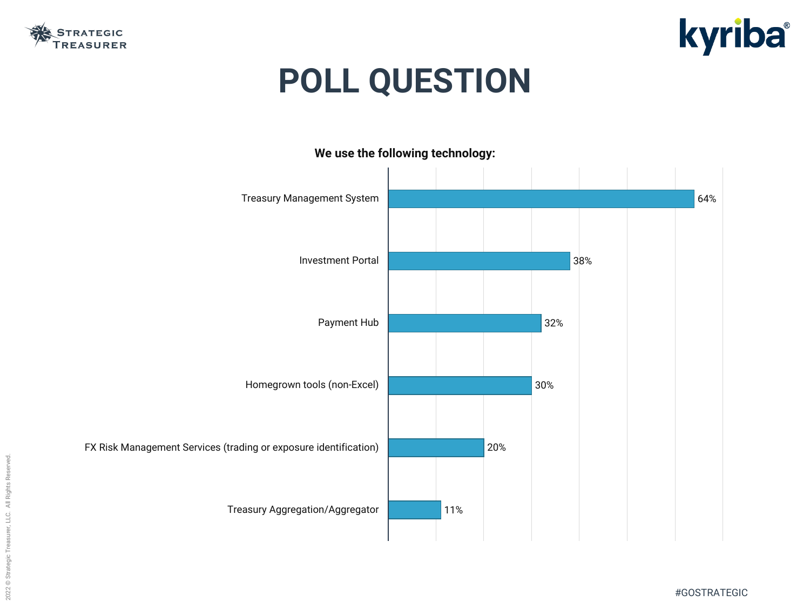





# **POLL QUESTION**



FX Risk Management Services (trading or exposure identification)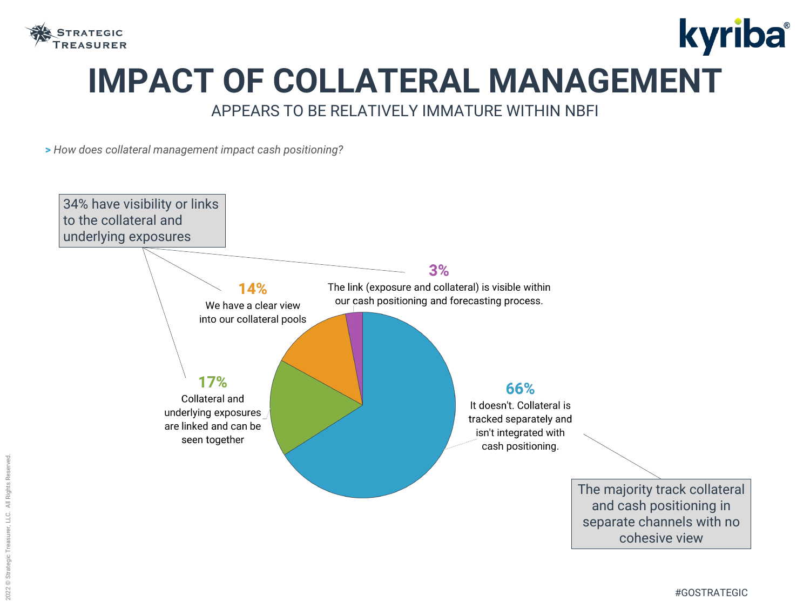

# kyriba® **IMPACT OF COLLATERAL MANAGEMENT** APPEARS TO BE RELATIVELY IMMATURE WITHIN NBFI

**>** *How does collateral management impact cash positioning?*

66% It doesn't. Collateral is tracked separately and isn't integrated with cash positioning. The majority track collateral and cash positioning in separate channels with no cohesive view

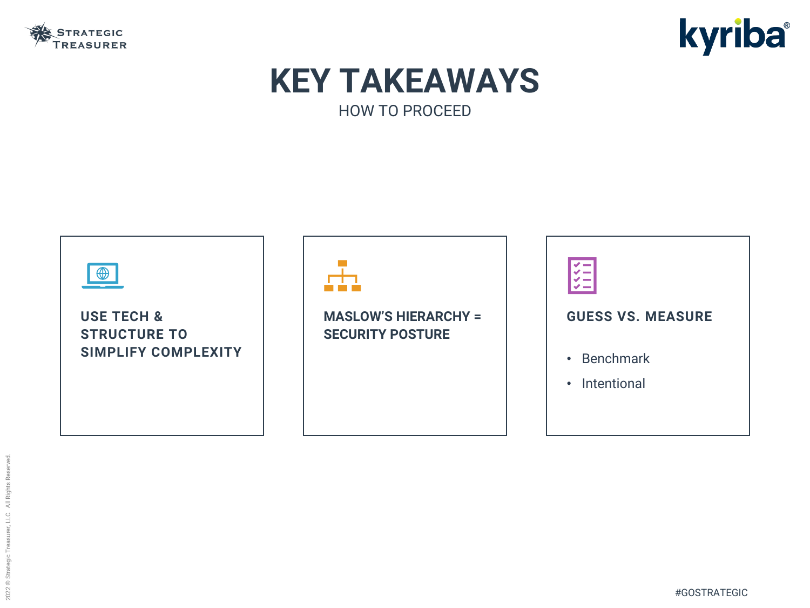









### **MASLOW'S HIERARCHY = SECURITY POSTURE**